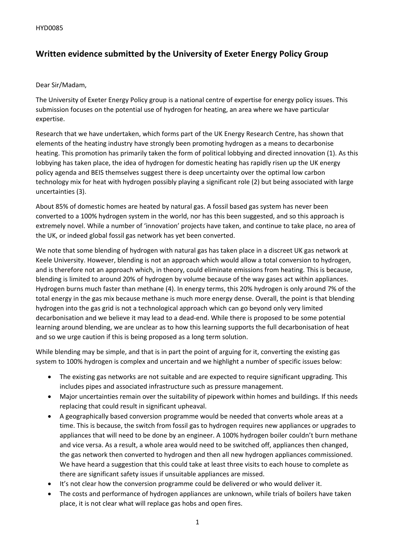## **Written evidence submitted by the University of Exeter Energy Policy Group**

## Dear Sir/Madam,

The University of Exeter Energy Policy group is a national centre of expertise for energy policy issues. This submission focuses on the potential use of hydrogen for heating, an area where we have particular expertise.

Research that we have undertaken, which forms part of the UK Energy Research Centre, has shown that elements of the heating industry have strongly been promoting hydrogen as a means to decarbonise heating. This promotion has primarily taken the form of political lobbying and directed innovation (1). As this lobbying has taken place, the idea of hydrogen for domestic heating has rapidly risen up the UK energy policy agenda and BEIS themselves suggest there is deep uncertainty over the optimal low carbon technology mix for heat with hydrogen possibly playing a significant role (2) but being associated with large uncertainties (3).

About 85% of domestic homes are heated by natural gas. A fossil based gas system has never been converted to a 100% hydrogen system in the world, nor has this been suggested, and so this approach is extremely novel. While a number of 'innovation' projects have taken, and continue to take place, no area of the UK, or indeed global fossil gas network has yet been converted.

We note that some blending of hydrogen with natural gas has taken place in a discreet UK gas network at Keele University. However, blending is not an approach which would allow a total conversion to hydrogen, and is therefore not an approach which, in theory, could eliminate emissions from heating. This is because, blending is limited to around 20% of hydrogen by volume because of the way gases act within appliances. Hydrogen burns much faster than methane (4). In energy terms, this 20% hydrogen is only around 7% of the total energy in the gas mix because methane is much more energy dense. Overall, the point is that blending hydrogen into the gas grid is not a technological approach which can go beyond only very limited decarbonisation and we believe it may lead to a dead-end. While there is proposed to be some potential learning around blending, we are unclear as to how this learning supports the full decarbonisation of heat and so we urge caution if this is being proposed as a long term solution.

While blending may be simple, and that is in part the point of arguing for it, converting the existing gas system to 100% hydrogen is complex and uncertain and we highlight a number of specific issues below:

- The existing gas networks are not suitable and are expected to require significant upgrading. This includes pipes and associated infrastructure such as pressure management.
- Major uncertainties remain over the suitability of pipework within homes and buildings. If this needs replacing that could result in significant upheaval.
- A geographically based conversion programme would be needed that converts whole areas at a time. This is because, the switch from fossil gas to hydrogen requires new appliances or upgrades to appliances that will need to be done by an engineer. A 100% hydrogen boiler couldn't burn methane and vice versa. As a result, a whole area would need to be switched off, appliances then changed, the gas network then converted to hydrogen and then all new hydrogen appliances commissioned. We have heard a suggestion that this could take at least three visits to each house to complete as there are significant safety issues if unsuitable appliances are missed.
- It's not clear how the conversion programme could be delivered or who would deliver it.
- The costs and performance of hydrogen appliances are unknown, while trials of boilers have taken place, it is not clear what will replace gas hobs and open fires.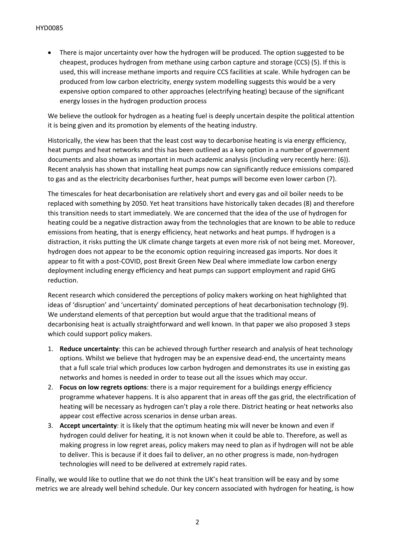There is major uncertainty over how the hydrogen will be produced. The option suggested to be cheapest, produces hydrogen from methane using carbon capture and storage (CCS) (5). If this is used, this will increase methane imports and require CCS facilities at scale. While hydrogen can be produced from low carbon electricity, energy system modelling suggests this would be a very expensive option compared to other approaches (electrifying heating) because of the significant energy losses in the hydrogen production process

We believe the outlook for hydrogen as a heating fuel is deeply uncertain despite the political attention it is being given and its promotion by elements of the heating industry.

Historically, the view has been that the least cost way to decarbonise heating is via energy efficiency, heat pumps and heat networks and this has been outlined as a key option in a number of government documents and also shown as important in much academic analysis (including very recently here: (6)). Recent analysis has shown that installing heat pumps now can significantly reduce emissions compared to gas and as the electricity decarbonises further, heat pumps will become even lower carbon (7).

The timescales for heat decarbonisation are relatively short and every gas and oil boiler needs to be replaced with something by 2050. Yet heat transitions have historically taken decades (8) and therefore this transition needs to start immediately. We are concerned that the idea of the use of hydrogen for heating could be a negative distraction away from the technologies that are known to be able to reduce emissions from heating, that is energy efficiency, heat networks and heat pumps. If hydrogen is a distraction, it risks putting the UK climate change targets at even more risk of not being met. Moreover, hydrogen does not appear to be the economic option requiring increased gas imports. Nor does it appear to fit with a post-COVID, post Brexit Green New Deal where immediate low carbon energy deployment including energy efficiency and heat pumps can support employment and rapid GHG reduction.

Recent research which considered the perceptions of policy makers working on heat highlighted that ideas of 'disruption' and 'uncertainty' dominated perceptions of heat decarbonisation technology (9). We understand elements of that perception but would argue that the traditional means of decarbonising heat is actually straightforward and well known. In that paper we also proposed 3 steps which could support policy makers.

- 1. **Reduce uncertainty**: this can be achieved through further research and analysis of heat technology options. Whilst we believe that hydrogen may be an expensive dead-end, the uncertainty means that a full scale trial which produces low carbon hydrogen and demonstrates its use in existing gas networks and homes is needed in order to tease out all the issues which may occur.
- 2. **Focus on low regrets options**: there is a major requirement for a buildings energy efficiency programme whatever happens. It is also apparent that in areas off the gas grid, the electrification of heating will be necessary as hydrogen can't play a role there. District heating or heat networks also appear cost effective across scenarios in dense urban areas.
- 3. **Accept uncertainty**: it is likely that the optimum heating mix will never be known and even if hydrogen could deliver for heating, it is not known when it could be able to. Therefore, as well as making progress in low regret areas, policy makers may need to plan as if hydrogen will not be able to deliver. This is because if it does fail to deliver, an no other progress is made, non-hydrogen technologies will need to be delivered at extremely rapid rates.

Finally, we would like to outline that we do not think the UK's heat transition will be easy and by some metrics we are already well behind schedule. Our key concern associated with hydrogen for heating, is how